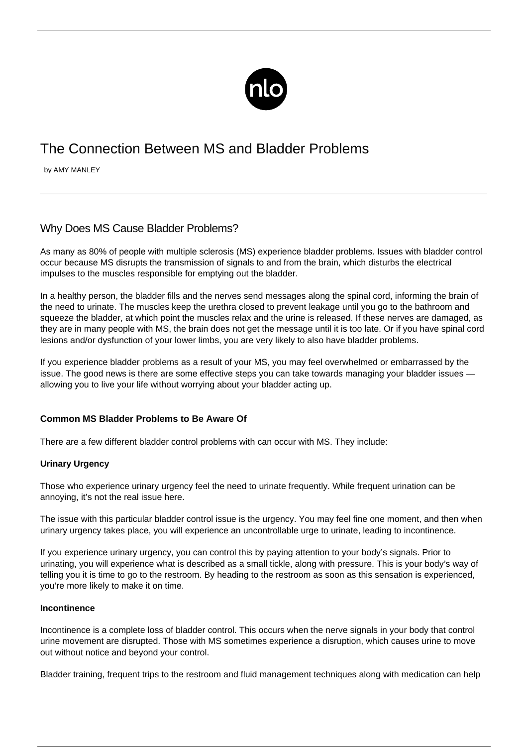

# The Connection Between MS and Bladder Problems

by AMY MANLEY

# Why Does MS Cause Bladder Problems?

As many as 80% of people with [multiple sclerosis](/what-is-ms/) (MS) experience bladder problems. Issues with bladder control occur because MS disrupts the transmission of signals to and from the brain, which disturbs the electrical impulses to the muscles responsible for emptying out the bladder.

In a healthy person, the bladder fills and the nerves send messages along the spinal cord, informing the brain of the need to urinate. The muscles keep the urethra closed to prevent leakage until you go to the bathroom and squeeze the bladder, at which point the muscles relax and the urine is released. If these nerves are damaged, as they are in many people with MS, the brain does not get the message until it is too late. Or if you have spinal cord lesions and/or dysfunction of your lower limbs, you are very likely to also have bladder problems.

If you experience bladder problems as a result of your MS, you may feel overwhelmed or embarrassed by the issue. The good news is there are some effective steps you can take towards managing your bladder issues allowing you to live your life without worrying about your bladder acting up.

# **Common MS Bladder Problems to Be Aware Of**

There are a few different bladder control problems with can occur with MS. They include:

#### **Urinary Urgency**

Those who experience urinary urgency feel the need to urinate frequently. While frequent urination can be annoying, it's not the real issue here.

The issue with this particular bladder control issue is the urgency. You may feel fine one moment, and then when urinary urgency takes place, you will experience an uncontrollable urge to urinate, leading to incontinence.

If you experience urinary urgency, you can control this by paying attention to your body's signals. Prior to urinating, you will experience what is described as a small tickle, along with pressure. This is your body's way of telling you it is time to go to the restroom. By heading to the restroom as soon as this sensation is experienced, you're more likely to make it on time.

## **Incontinence**

Incontinence is a complete loss of bladder control. This occurs when the nerve signals in your body that control urine movement are disrupted. Those with MS sometimes experience a disruption, which causes urine to move out without notice and beyond your control.

Bladder training, frequent trips to the restroom and fluid management techniques along with medication can help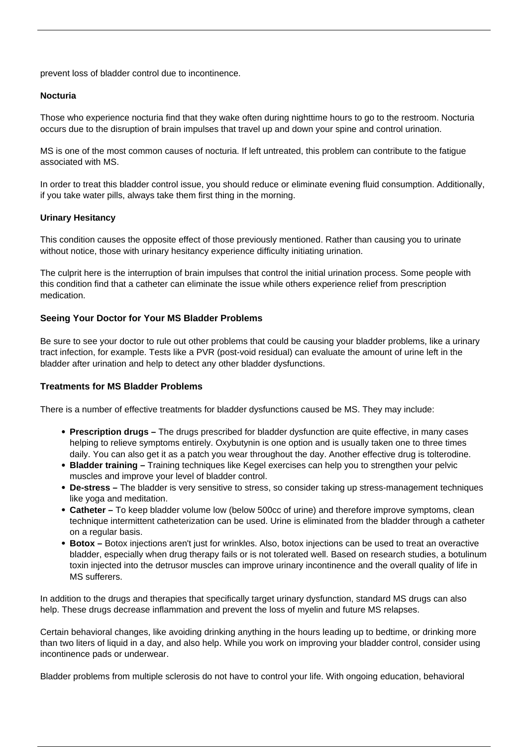prevent loss of bladder control due to incontinence.

#### **Nocturia**

Those who experience nocturia find that they wake often during nighttime hours to go to the restroom. Nocturia occurs due to the disruption of brain impulses that travel up and down your spine and control urination.

MS is one of the most common causes of nocturia. If left untreated, this problem can contribute to the [fatigue](/fatigue-and-ms/) [associated with MS](/fatigue-and-ms/).

In order to treat this bladder control issue, you should reduce or eliminate evening fluid consumption. Additionally, if you take water pills, always take them first thing in the morning.

## **Urinary Hesitancy**

This condition causes the opposite effect of those previously mentioned. Rather than causing you to urinate without notice, those with urinary hesitancy experience difficulty initiating urination.

The culprit here is the interruption of brain impulses that control the initial urination process. Some people with this condition find that a catheter can eliminate the issue while others experience relief from prescription medication.

# **Seeing Your Doctor for Your MS Bladder Problems**

Be sure to see your doctor to rule out other problems that could be causing your bladder problems, like a urinary tract infection, for example. Tests like a PVR (post-void residual) can evaluate the amount of urine left in the bladder after urination and help to detect any other bladder dysfunctions.

#### **Treatments for MS Bladder Problems**

There is a number of effective treatments for bladder dysfunctions caused be MS. They may include:

- **Prescription drugs –** The drugs prescribed for bladder dysfunction are quite effective, in many cases helping to relieve symptoms entirely. Oxybutynin is one option and is usually taken one to three times daily. You can also get it as a patch you wear throughout the day. Another effective drug is tolterodine.
- **Bladder training** Training techniques like Kegel exercises can help you to strengthen your pelvic muscles and improve your level of bladder control.
- **De-stress** The bladder is very sensitive to stress, so consider taking up stress-management techniques like yoga and meditation.
- **Catheter –** To keep bladder volume low (below 500cc of urine) and therefore improve symptoms, clean technique intermittent catheterization can be used. Urine is eliminated from the bladder through a catheter on a regular basis.
- **Botox –** Botox injections aren't just for wrinkles. Also, [botox injections can be used to treat an overactive](https://oab.newlifeoutlook.com/botox-oab/) [bladder](https://oab.newlifeoutlook.com/botox-oab/), especially when drug therapy fails or is not tolerated well. Based on research studies, a botulinum toxin injected into the detrusor muscles can improve urinary incontinence and the overall quality of life in MS sufferers.

In addition to the drugs and therapies that specifically target urinary dysfunction, standard MS drugs can also help. These drugs decrease inflammation and prevent the loss of myelin and future MS relapses.

Certain behavioral changes, like avoiding drinking anything in the hours leading up to bedtime, or drinking more than two liters of liquid in a day, and also help. While you work on improving your bladder control, consider using incontinence pads or underwear.

Bladder problems from multiple sclerosis do not have to control your life. With ongoing education, behavioral